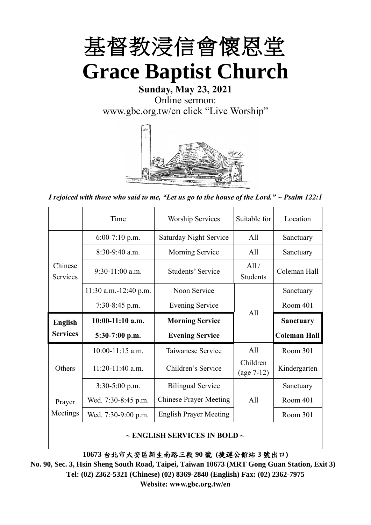

# **Sunday, May 23, 2021** Online sermon: [www.gbc.org.tw/en](http://www.gbc.org.tw/en) click "Live Worship"



*I rejoiced with those who said to me, "Let us go to the house of the Lord." ~ Psalm 122:1*

|                            | Time                  | <b>Worship Services</b>       | Suitable for             | Location            |
|----------------------------|-----------------------|-------------------------------|--------------------------|---------------------|
|                            | $6:00-7:10$ p.m.      | <b>Saturday Night Service</b> | A11                      | Sanctuary           |
|                            | $8:30-9:40$ a.m.      | <b>Morning Service</b>        | All                      | Sanctuary           |
| Chinese<br><b>Services</b> | $9:30-11:00$ a.m.     | Students' Service             | All /<br><b>Students</b> | Coleman Hall        |
|                            | 11:30 a.m.-12:40 p.m. | Noon Service                  |                          | Sanctuary           |
|                            | $7:30-8:45$ p.m.      | <b>Evening Service</b>        | A11                      | Room 401            |
|                            |                       |                               |                          |                     |
| <b>English</b>             | $10:00-11:10$ a.m.    | <b>Morning Service</b>        |                          | <b>Sanctuary</b>    |
| <b>Services</b>            | $5:30-7:00$ p.m.      | <b>Evening Service</b>        |                          | <b>Coleman Hall</b> |
|                            | $10:00-11:15$ a.m.    | Taiwanese Service             | A11                      | Room 301            |
| Others                     | 11:20-11:40 a.m.      | Children's Service            | Children<br>$(age 7-12)$ | Kindergarten        |
|                            | $3:30-5:00$ p.m.      | <b>Bilingual Service</b>      |                          | Sanctuary           |
| Prayer                     | Wed. 7:30-8:45 p.m.   | <b>Chinese Prayer Meeting</b> | A11                      | Room 401            |
| Meetings                   | Wed. 7:30-9:00 p.m.   | <b>English Prayer Meeting</b> |                          | Room 301            |

#### **~ ENGLISH SERVICES IN BOLD ~**

**10673** 台北市大安區新生南路三段 **90** 號 **(**捷運公館站 **3** 號出口**)**

**No. 90, Sec. 3, Hsin Sheng South Road, Taipei, Taiwan 10673 (MRT Gong Guan Station, Exit 3) Tel: (02) 2362-5321 (Chinese) (02) 8369-2840 (English) Fax: (02) 2362-7975 Website: www.gbc.org.tw/en**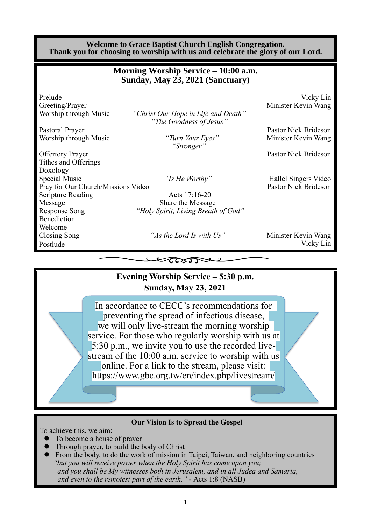#### **Welcome to Grace Baptist Church English Congregation. Thank you for choosing to worship with us and celebrate the glory of our Lord.**

|                                    | Morning Worship Service – 10:00 a.m.<br>Sunday, May 23, 2021 (Sanctuary) |                                  |
|------------------------------------|--------------------------------------------------------------------------|----------------------------------|
| Prelude<br>Greeting/Prayer         |                                                                          | Vicky Lin<br>Minister Kevin Wang |
| Worship through Music              | "Christ Our Hope in Life and Death"<br>"The Goodness of Jesus"           |                                  |
| Pastoral Prayer                    |                                                                          | Pastor Nick Brideson             |
| Worship through Music              | "Turn Your Eyes"<br>"Stronger"                                           | Minister Kevin Wang              |
| <b>Offertory Prayer</b>            |                                                                          | Pastor Nick Brideson             |
| Tithes and Offerings               |                                                                          |                                  |
| Doxology                           |                                                                          |                                  |
| Special Music                      | "Is He Worthy"                                                           | Hallel Singers Video             |
| Pray for Our Church/Missions Video |                                                                          | <b>Pastor Nick Brideson</b>      |
| <b>Scripture Reading</b>           | Acts 17:16-20                                                            |                                  |
| Message                            | Share the Message                                                        |                                  |
| <b>Response Song</b>               | "Holy Spirit, Living Breath of God"                                      |                                  |
| Benediction                        |                                                                          |                                  |
| Welcome                            |                                                                          |                                  |
| Closing Song                       | "As the Lord Is with Us"                                                 | Minister Kevin Wang              |
| Postlude                           |                                                                          | Vicky Lin                        |
|                                    |                                                                          |                                  |

## **Evening Worship Service – 5:30 p.m. Sunday, May 23, 2021**

In accordance to CECC's recommendations for preventing the spread of infectious disease, we will only live-stream the morning worship service. For those who regularly worship with us at 5:30 p.m., we invite you to use the recorded livestream of the 10:00 a.m. service to worship with us online. For a link to the stream, please visit: https://www.gbc.org.tw/en/index.php/livestream/

#### **Our Vision Is to Spread the Gospel**

To achieve this, we aim:

- ⚫ To become a house of prayer
- ⚫ Through prayer, to build the body of Christ
- ⚫ From the body, to do the work of mission in Taipei, Taiwan, and neighboring countries *"but you will receive power when the Holy Spirit has come upon you; and you shall be My witnesses both in Jerusalem, and in all Judea and Samaria, and even to the remotest part of the earth." -* Acts 1:8 (NASB)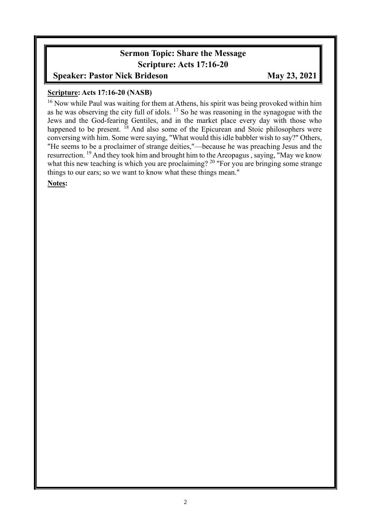### **Sermon Topic: Share the Message Scripture: Acts 17:16-20**

**Speaker: Pastor Nick Brideson May 23, 2021** 

#### **Scripture: Acts 17:16-20 (NASB)**

<sup>16</sup> Now while Paul was waiting for them at Athens, his spirit was being provoked within him as he was observing the city full of idols.  $17$  So he was reasoning in the synagogue with the Jews and the God-fearing Gentiles, and in the market place every day with those who happened to be present. <sup>18</sup> And also some of the Epicurean and Stoic philosophers were conversing with him. Some were saying, "What would this idle babbler wish to say?" Others, "He seems to be a proclaimer of strange deities,"—because he was preaching Jesus and the resurrection. <sup>19</sup> And they took him and brought him to the Areopagus , saying, "May we know what this new teaching is which you are proclaiming?  $20$  "For you are bringing some strange things to our ears; so we want to know what these things mean."

**Notes:**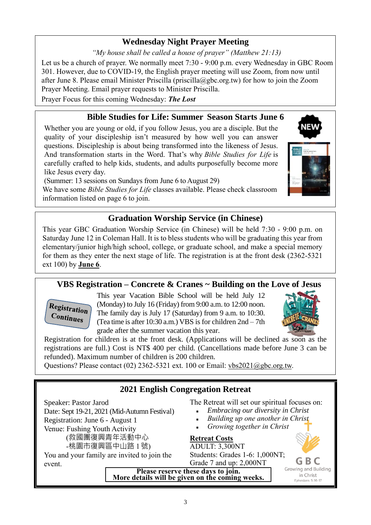# **Wednesday Night Prayer Meeting**

*"My house shall be called a house of prayer" (Matthew 21:13)*

Let us be a church of prayer. We normally meet 7:30 - 9:00 p.m. every Wednesday in GBC Room 301. However, due to COVID-19, the English prayer meeting will use Zoom, from now until after June 8. Please email Minister Priscilla (priscilla@gbc.org.tw) for how to join the Zoom Prayer Meeting. Email prayer requests to Minister Priscilla.

Prayer Focus for this coming Wednesday: *The Lost*

## **Bible Studies for Life: Summer Season Starts June 6**

Whether you are young or old, if you follow Jesus, you are a disciple. But the quality of your discipleship isn't measured by how well you can answer questions. Discipleship is about being transformed into the likeness of Jesus. And transformation starts in the Word. That's why *Bible Studies for Life* is carefully crafted to help kids, students, and adults purposefully become more like Jesus every day.

(Summer: 13 sessions on Sundays from June 6 to August 29)

We have some *Bible Studies for Life* classes available. Please check classroom information listed on page 6 to join.

# **Graduation Worship Service (in Chinese)**

This year GBC Graduation Worship Service (in Chinese) will be held 7:30 - 9:00 p.m. on Saturday June 12 in Coleman Hall. It is to bless students who will be graduating this year from elementary/junior high/high school, college, or graduate school, and make a special memory for them as they enter the next stage of life. The registration is at the front desk (2362-5321 ext 100) by **June 6**.

# **VBS Registration – Concrete & Cranes ~ Building on the Love of Jesus**



This year Vacation Bible School will be held July 12 (Monday) to July 16 (Friday) from 9:00 a.m. to 12:00 noon. The family day is July 17 (Saturday) from 9 a.m. to 10:30. (Tea time is after 10:30 a.m.) VBS is for children 2nd – 7th grade after the summer vacation this year.



Registration for children is at the front desk. (Applications will be declined as soon as the registrations are full.) Cost is NT\$ 400 per child. (Cancellations made before June 3 can be refunded). Maximum number of children is 200 children.

Questions? Please contact (02) 2362-5321 ext. 100 or Email: [vbs2021@gbc.org.tw.](mailto:vbs2021@gbc.org.tw)

| 2021 English Congregation Retreat                                                                                                                                          |                                                                                                                                                                                                                    |  |  |
|----------------------------------------------------------------------------------------------------------------------------------------------------------------------------|--------------------------------------------------------------------------------------------------------------------------------------------------------------------------------------------------------------------|--|--|
| Speaker: Pastor Jarod<br>Date: Sept 19-21, 2021 (Mid-Autumn Festival)<br>Registration: June 6 - August 1<br>Venue: Fushing Youth Activity<br>(救國團復興青年活動中心<br>-桃園市復興區中山路1號) | The Retreat will set our spiritual focuses on:<br>Embracing our diversity in Christ<br>Building up one another in Christ<br>$\blacksquare$<br>Growing together in Christ<br><b>Retreat Costs</b><br>ADULT: 3,300NT |  |  |
| You and your family are invited to join the<br>event.                                                                                                                      | Students: Grades 1-6: 1,000NT;<br>Grade 7 and up: 2,000NT<br>Growing and Building<br>Please reserve these days to join.<br>More details will be given on the coming weeks.<br>in Christ<br>Ephesians 5:16-17       |  |  |

3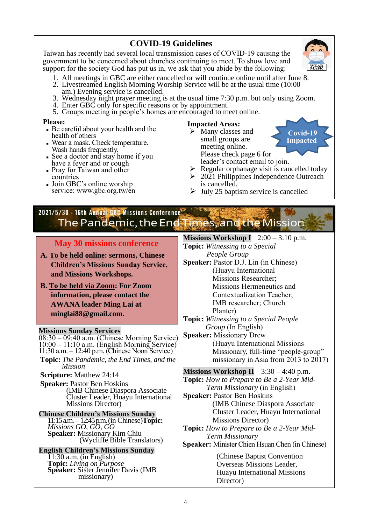### **COVID-19 Guidelines**

Taiwan has recently had several local transmission cases of COVID-19 causing the government to be concerned about churches continuing to meet. To show love and support for the society God has put us in, we ask that you abide by the following:

- 1. All meetings in GBC are either cancelled or will continue online until after June 8.
- 2. Livestreamed English Morning Worship Service will be at the usual time (10:00 am.) Evening service is cancelled.
- 3. Wednesday night prayer meeting is at the usual time 7:30 p.m. but only using Zoom.
- 4. Enter GBC only for specific reasons or by appointment.
- 5. Groups meeting in people's homes are encouraged to meet online.

#### **Please:**

- Be careful about your health and the health of others
- Wear a mask. Check temperature. Wash hands frequently.
- See a doctor and stay home if you have a fever and or cough
- Pray for Taiwan and other countries
- Join GBC's online worship service: www.gbc.org.tw/en

#### **Impacted Areas:**

- ➢ Many classes and small groups are meeting online. Please check page 6 for leader's contact email to join.
- $\triangleright$  Regular orphanage visit is cancelled today
- $\geq 2021$  Philippines Independence Outreach is cancelled.
- $\triangleright$  July 25 baptism service is cancelled

# 2021/5/30 - 16th Annual GBC Missions Conference The Pandemic, the End Times, and the Mission

#### **May 30 missions conference**

- **A. To be held online: sermons, Chinese Children's Missions Sunday Service, and Missions Workshops.**
- **B. To be held via Zoom: For Zoom information, please contact the AWANA leader Ming Lai at minglai88@gmail.com.**

#### **Missions Sunday Services**

08:30 – 09:40 a.m. (Chinese Morning Service) 10:00 – 11:10 a.m. (English Morning Service) 11:30 a.m. – 12:40 p.m. (Chinese Noon Service)

- **Topic:** *The Pandemic, the End Times, and the Mission*
- **Scripture:** Matthew 24:14
- **Speaker:** Pastor Ben Hoskins (IMB Chinese Diaspora Associate Cluster Leader, Huayu International Missions Director)

**Chinese Children's Missions Sunday** 11:15 a.m. – 12:45 p.m. (in Chinese)**Topic:** *Missions GO, GO, GO* **Speaker:** Missionary Kim Chiu (Wycliffe Bible Translators)

**English Children's Missions Sunday**  $1:30$  a.m. (in English) **Topic:** *Living on Purpose* **Speaker:** Sister Jennifer Davis (IMB missionary)

#### *People Group* **Speaker:** Pastor D.J. Lin (in Chinese) (Huayu International Missions Researcher; Missions Hermeneutics and

**Topic:** *Witnessing to a Special* 

**Missions Workshop I** 2:00 – 3:10 p.m.

Contextualization Teacher; IMB researcher; Church Planter)

**Topic:** *Witnessing to a Special People Group* (In English)

**Speaker:** Missionary Drew (Huayu International Missions Missionary, full-time "people-group" missionary in Asia from 2013 to 2017)

**Missions Workshop II** 3:30 – 4:40 p.m. **Topic:** *How to Prepare to Be a 2-Year Mid-Term Missionary* (in English) **Speaker:** Pastor Ben Hoskins (IMB Chinese Diaspora Associate Cluster Leader, Huayu International Missions Director) **Topic:** *How to Prepare to Be a 2-Year Mid-Term Missionary*

**Speaker:** Minister Chien Hsuan Chen (in Chinese)

(Chinese Baptist Convention Overseas Missions Leader, Huayu International Missions Director)



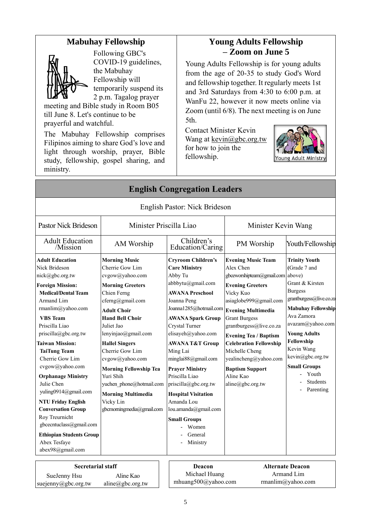#### **Mabuhay Fellowship**



Following GBC's COVID-19 guidelines, the Mabuhay Fellowship will temporarily suspend its 2 p.m. Tagalog prayer

meeting and Bible study in Room B05 till June 8. Let's continue to be prayerful and watchful.

The Mabuhay Fellowship comprises Filipinos aiming to share God's love and light through worship, prayer, Bible study, fellowship, gospel sharing, and ministry.

## **Young Adults Fellowship – Zoom on June 5**

Young Adults Fellowship is for young adults from the age of 20-35 to study God's Word and fellowship together. It regularly meets 1st and 3rd Saturdays from 4:30 to 6:00 p.m. at WanFu 22, however it now meets online via Zoom (until 6/8). The next meeting is on June 5th.

Contact Minister Kevin Wang at [kevin@gbc.org.tw](mailto:kevin@gbc.org.tw) for how to join the fellowship.



| <b>English Congregation Leaders</b>                                                                                                                                                                                                                                                                                                                                                                                                                                                                                                                         |                                                                                                                                                                                                                                                                                                                                                                                                                               |                                                                                                                                                                                                                                                                                                                                                                                                                                                                                          |                                                                                                                                                                                                                                                                                                                                                                                                     |                                                                                                                                                                                                                                                                                                            |
|-------------------------------------------------------------------------------------------------------------------------------------------------------------------------------------------------------------------------------------------------------------------------------------------------------------------------------------------------------------------------------------------------------------------------------------------------------------------------------------------------------------------------------------------------------------|-------------------------------------------------------------------------------------------------------------------------------------------------------------------------------------------------------------------------------------------------------------------------------------------------------------------------------------------------------------------------------------------------------------------------------|------------------------------------------------------------------------------------------------------------------------------------------------------------------------------------------------------------------------------------------------------------------------------------------------------------------------------------------------------------------------------------------------------------------------------------------------------------------------------------------|-----------------------------------------------------------------------------------------------------------------------------------------------------------------------------------------------------------------------------------------------------------------------------------------------------------------------------------------------------------------------------------------------------|------------------------------------------------------------------------------------------------------------------------------------------------------------------------------------------------------------------------------------------------------------------------------------------------------------|
|                                                                                                                                                                                                                                                                                                                                                                                                                                                                                                                                                             |                                                                                                                                                                                                                                                                                                                                                                                                                               | English Pastor: Nick Brideson                                                                                                                                                                                                                                                                                                                                                                                                                                                            |                                                                                                                                                                                                                                                                                                                                                                                                     |                                                                                                                                                                                                                                                                                                            |
| <b>Pastor Nick Brideson</b>                                                                                                                                                                                                                                                                                                                                                                                                                                                                                                                                 | Minister Priscilla Liao                                                                                                                                                                                                                                                                                                                                                                                                       |                                                                                                                                                                                                                                                                                                                                                                                                                                                                                          | Minister Kevin Wang                                                                                                                                                                                                                                                                                                                                                                                 |                                                                                                                                                                                                                                                                                                            |
| <b>Adult Education</b><br>/Mission                                                                                                                                                                                                                                                                                                                                                                                                                                                                                                                          | Children's<br>AM Worship<br>Education/Caring                                                                                                                                                                                                                                                                                                                                                                                  |                                                                                                                                                                                                                                                                                                                                                                                                                                                                                          | PM Worship                                                                                                                                                                                                                                                                                                                                                                                          | Youth/Fellowship                                                                                                                                                                                                                                                                                           |
| <b>Adult Education</b><br>Nick Brideson<br>nick@gbc.org.tw<br><b>Foreign Mission:</b><br><b>Medical/Dental Team</b><br>Armand Lim<br>rmanlim@yahoo.com<br><b>VBS</b> Team<br>Priscilla Liao<br>priscilla@gbc.org.tw<br><b>Taiwan Mission:</b><br><b>TaiTung Team</b><br>Cherrie Gow Lim<br>cvgow@yahoo.com<br><b>Orphanage Ministry</b><br>Julie Chen<br>yuling0914@gmail.com<br><b>NTU Friday English</b><br><b>Conversation Group</b><br>Roy Treurnicht<br>gbcecntuclass@gmail.com<br><b>Ethiopian Students Group</b><br>Abex Tesfaye<br>abex98@gmail.com | <b>Morning Music</b><br>Cherrie Gow Lim<br>cvgow@yahoo.com<br><b>Morning Greeters</b><br>Chien Ferng<br>cferng@gmail.com<br><b>Adult Choir</b><br><b>Hand Bell Choir</b><br>Juliet Jao<br>lenyinjao@gmail.com<br><b>Hallel Singers</b><br>Cherrie Gow Lim<br>cvgow@yahoo.com<br><b>Morning Fellowship Tea</b><br>Yuri Shih<br>yuchen phone@hotmail.com<br><b>Morning Multimedia</b><br>Vicky Lin<br>gbcmorningmedia@gmail.com | <b>Cryroom Children's</b><br><b>Care Ministry</b><br>Abby Tu<br>abbbytu@gmail.com<br><b>AWANA Preschool</b><br>Joanna Peng<br>Joanna1285@hotmail.com<br><b>AWANA Spark Group</b><br>Crystal Turner<br>elisayeh@yahoo.com<br><b>AWANA T&amp;T Group</b><br>Ming Lai<br>minglai88@gmail.com<br><b>Prayer Ministry</b><br>Priscilla Liao<br>priscilla@gbc.org.tw<br><b>Hospital Visitation</b><br>Amanda Lou<br>lou.amanda@gmail.com<br><b>Small Groups</b><br>Women<br>General<br>Ministry | <b>Evening Music Team</b><br>Alex Chen<br>gbceworshipteam@gmail.com above)<br><b>Evening Greeters</b><br>Vicky Kuo<br>asiaglobe999@gmail.com<br><b>Evening Multimedia</b><br><b>Grant Burgess</b><br>grantburgess@live.co.za<br><b>Evening Tea / Baptism</b><br><b>Celebration Fellowship</b><br>Michelle Cheng<br>yealincheng@yahoo.com<br><b>Baptism Support</b><br>Aline Kao<br>aline@gbc.org.tw | <b>Trinity Youth</b><br>(Grade 7 and<br>Grant & Kirsten<br><b>Burgess</b><br>grantburgess@live.co.za<br><b>Mabuhay Fellowship</b><br>Ava Zamora<br>avazam@yahoo.com<br><b>Young Adults</b><br>Fellowship<br>Kevin Wang<br>kevin@gbc.org.tw<br><b>Small Groups</b><br>Youth<br><b>Students</b><br>Parenting |
| $C = 1$ . The set of $\mathbb{R}$ is the set of $\mathbb{R}$                                                                                                                                                                                                                                                                                                                                                                                                                                                                                                |                                                                                                                                                                                                                                                                                                                                                                                                                               |                                                                                                                                                                                                                                                                                                                                                                                                                                                                                          | $A$ <b>Li</b> $A$ and $A$                                                                                                                                                                                                                                                                                                                                                                           |                                                                                                                                                                                                                                                                                                            |

| <b>Secretarial staff</b> |                            | Deacon              | <b>Alternate Deacon</b> |  |
|--------------------------|----------------------------|---------------------|-------------------------|--|
| SueJenny Hsu             | Aline Kao                  | Michael Huang       | Armand Lim              |  |
| suejenny@gbc.org.tw      | $aline(\theta)$ gbc.org.tw | mhuang500@yahoo.com | rmanlim@yahoo.com       |  |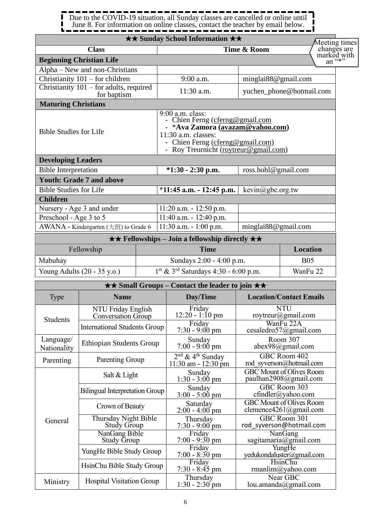Due to the COVID-19 situation, all Sunday classes are cancelled or online until June 8. For information on online classes, contact the teacher by email below.

#### ★★ **Fellowships – Join a fellowship directly** ★★ Fellowship **Time Location** Mabuhay  $\sim$  Sundays 2:00 - 4:00 p.m. B05 Young Adults (20 - 35 y.o.) 1 st & 3rd Saturdays 4:30 - 6:00 p.m. WanFu 22 ★★ **Small Groups – Contact the leader to join** ★★ Type **Name Day/Time Location/Contact Emails** Students NTU Friday English Conversation Group Friday 12:20 - 1:10 pm **NTU** roytreur@gmail.com International Students Group Friday  $7:30 - 9:00 \text{ pm}$ WanFu 22A cesaledro57@gmail.com Language/ Language/ Ethiopian Students Group  $\begin{bmatrix} \text{Sunday} \\ \text{Nationality} \end{bmatrix}$  Ethiopian Students Group 7:00 - 9:00 7:00 - 9:00 pm Room 307 abex98@gmail.com Parenting Parenting Group <sup>nd</sup> & 4<sup>th</sup> Sunday 11:30 am - 12:30 pm GBC Room 402 rod\_syverson@hotmail.com General Salt & Light Sunday  $1:30 - 3:00$  pm GBC Mount of Olives Room paulhan2908@gmail.com Bilingual Interpretation Group  $\begin{bmatrix} \text{Sunday} \\ \text{Soulomb} \end{bmatrix}$  $3:00 - 5:00$  pm GBC Room 303 cfindler@yahoo.com Crown of Beauty Saturday  $2:00 - 4:00$  pm GBC Mount of Olives Room clemence4261@gmail.com Thursday Night Bible Study Group Thursday  $7:30 - 9:00$  pm GBC Room 301 rod\_syverson@hotmail.com NanGang Bible Study Group Friday 7:00 - 9:30 pm NanGang sagitamaria@gmail.com YungHe Bible Study Group 7:00 - 8:30 pm YungHe yedukondaluster@gmail.com HsinChu Bible Study Group Friday 7:30 - 8:45 pm HsinChu rmanlim@yahoo.com Ministry Hospital Visitation Group Thursday Near GBC ★★ **Sunday School Information** ★★ **Class Time & Room Beginning Christian Life** Alpha – New and non-Christians Christianity  $101 -$  for children  $9:00$  a.m. minglai88@gmail.com Christianity 101 – for adults, required for baptism 11:30 a.m. yuchen\_phone@hotmail.com **Maturing Christians** Bible Studies for Life 9:00 a.m. class: - Chien Ferng [\(cferng@gmail.com](mailto:cferng@gmail.com) - \***Ava Zamora (avazam@yahoo.com)**  11:30 a.m. classes: - Chien Ferng [\(cferng@gmail.com\)](mailto:cferng@gmail.com) - Roy Treurnicht (roytreur@gmail.com) **Developing Leaders** Bible Interpretation **\*1:30 - 2:30 p.m.** ross.hohl@gmail.com **Youth: Grade 7 and above** Bible Studies for Life \***11:45 a.m. - 12:45 p.m.** kevin@gbc.org.tw **Children** Nursery - Age 3 and under 11:20 a.m. - 12:50 p.m. Preschool - Age 3 to 5 11:40 a.m. - 12:40 p.m. AWANA - Kindergarten  $(\pm \text{H})$  to Grade 6 | 11:30 a.m. - 1:00 p.m. | minglai88@gmail.com Meeting times changes are marked with an "\*"

1:30 - 2:30 pm

lou.amanda@gmail.com